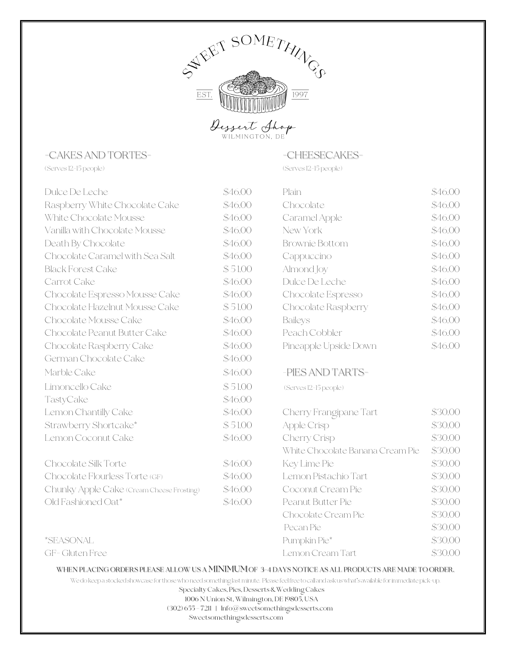

## -CAKES AND TORTES-  $-$ CHEESECAKES-

(Serves 12-15 people) (Serves 12-15 people)

| Dulce De Leche                            | \$46.00 | Plain                            | \$46.00 |
|-------------------------------------------|---------|----------------------------------|---------|
| Raspberry White Chocolate Cake            | \$46.00 | Chocolate                        | \$46.00 |
| White Chocolate Mousse                    | \$46.00 | Caramel Apple                    | \$46.00 |
| Vanilla with Chocolate Mousse             | \$46.00 | New York<br>\$46.00              |         |
| Death By Chocolate                        | \$46.00 | <b>Brownie Bottom</b><br>\$46.00 |         |
| Chocolate Caramel with Sea Salt           | \$46.00 | Cappuccino                       | \$46.00 |
| <b>Black Forest Cake</b>                  | \$51.00 | Almond Joy                       | \$46.00 |
| Carrot Cake                               | \$46.00 | Dulce De Leche                   | \$46.00 |
| Chocolate Espresso Mousse Cake            | \$46.00 | Chocolate Espresso               | \$46.00 |
| Chocolate Hazelnut Mousse Cake            | \$51.00 | Chocolate Raspberry              | \$46.00 |
| Chocolate Mousse Cake                     | \$46.00 | \$46.00<br><b>Baileys</b>        |         |
| Chocolate Peanut Butter Cake              | \$46.00 | Peach Cobbler                    | \$46.00 |
| Chocolate Raspberry Cake                  | \$46.00 | Pineapple Upside Down            | \$46.00 |
| German Chocolate Cake                     | \$46.00 |                                  |         |
| Marble Cake                               | \$46.00 | -PIES AND TARTS-                 |         |
| Limoncello Cake                           | \$51.00 | (Serves 12-15 people)            |         |
| TastyCake                                 | \$46.00 |                                  |         |
| Lemon Chantilly Cake                      | \$46.00 | Cherry Frangipane Tart           | \$30.00 |
| Strawberry Shortcake*                     | \$51.00 | Apple Crisp                      | \$30.00 |
| Lemon Coconut Cake                        | \$46.00 | Cherry Crisp                     | \$30.00 |
|                                           |         | White Chocolate Banana Cream Pie | \$30.00 |
| Chocolate Silk Torte                      | \$46.00 | Key Lime Pie                     | \$30.00 |
| Chocolate Flourless Torte (GF)            | \$46.00 | Lemon Pistachio Tart             | \$30.00 |
| Chunky Apple Cake (Cream Cheese Frosting) | \$46.00 | Coconut Cream Pie                | \$30.00 |
| Old Fashioned Oat*                        | \$46.00 | Peanut Butter Pie                | \$30.00 |
|                                           |         | Chocolate Cream Pie              | \$30.00 |
|                                           |         | Pecan Pie                        | \$30.00 |
| <i><b>*SEASONAL</b></i>                   |         | Pumpkin Pie*                     | \$30.00 |
| GF-Gluten Free                            |         | Lemon Cream Tart                 | \$30.00 |

### WHEN PLACING ORDERS PLEASE ALLOW US A MINIMUMOF 3-4 DAYS NOTICE AS ALL PRODUCTS ARE MADE TO ORDER.

Wedo keep a stocked showcase for thosewho needsomething last minute. Please feelfreetocall and ask us what's availablefor immediate pick-up.

Specialty Cakes, Pies, Desserts &Wedding Cakes

1006 N Union St,Wilmington, DE 19805, USA

(302) 655 – 7211 | Info@sweetsomethingsdesserts.com

Sweetsomethingsdesserts.com